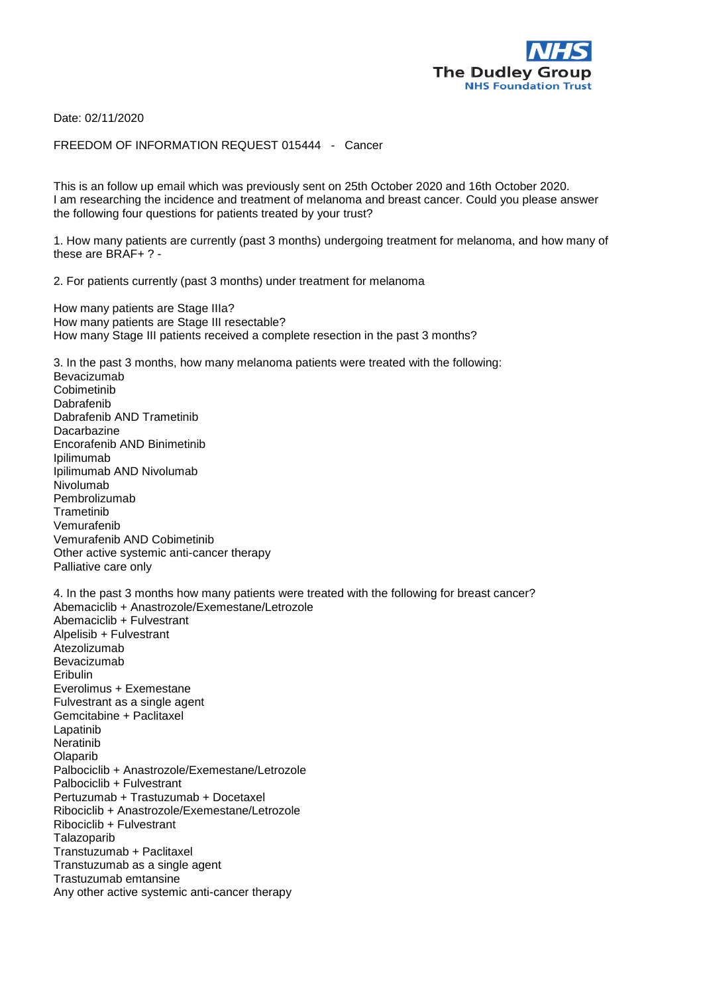

Date: 02/11/2020

FREEDOM OF INFORMATION REQUEST 015444 - Cancer

This is an follow up email which was previously sent on 25th October 2020 and 16th October 2020. I am researching the incidence and treatment of melanoma and breast cancer. Could you please answer the following four questions for patients treated by your trust?

1. How many patients are currently (past 3 months) undergoing treatment for melanoma, and how many of these are BRAF+ ? -

2. For patients currently (past 3 months) under treatment for melanoma

How many patients are Stage IIIa? How many patients are Stage III resectable? How many Stage III patients received a complete resection in the past 3 months?

3. In the past 3 months, how many melanoma patients were treated with the following: Bevacizumab Cobimetinib Dabrafenib Dabrafenib AND Trametinib **Dacarbazine** Encorafenib AND Binimetinib Ipilimumab Ipilimumab AND Nivolumab Nivolumab Pembrolizumab **Trametinib** Vemurafenib Vemurafenib AND Cobimetinib Other active systemic anti-cancer therapy Palliative care only 4. In the past 3 months how many patients were treated with the following for breast cancer? Abemaciclib + Anastrozole/Exemestane/Letrozole Abemaciclib + Fulvestrant Alpelisib + Fulvestrant Atezolizumab Bevacizumab Eribulin Everolimus + Exemestane Fulvestrant as a single agent Gemcitabine + Paclitaxel Lapatinib Neratinib Olaparib Palbociclib + Anastrozole/Exemestane/Letrozole Palbociclib + Fulvestrant Pertuzumab + Trastuzumab + Docetaxel Ribociclib + Anastrozole/Exemestane/Letrozole Ribociclib + Fulvestrant Talazoparib Transtuzumab + Paclitaxel

Transtuzumab as a single agent

Trastuzumab emtansine

Any other active systemic anti-cancer therapy